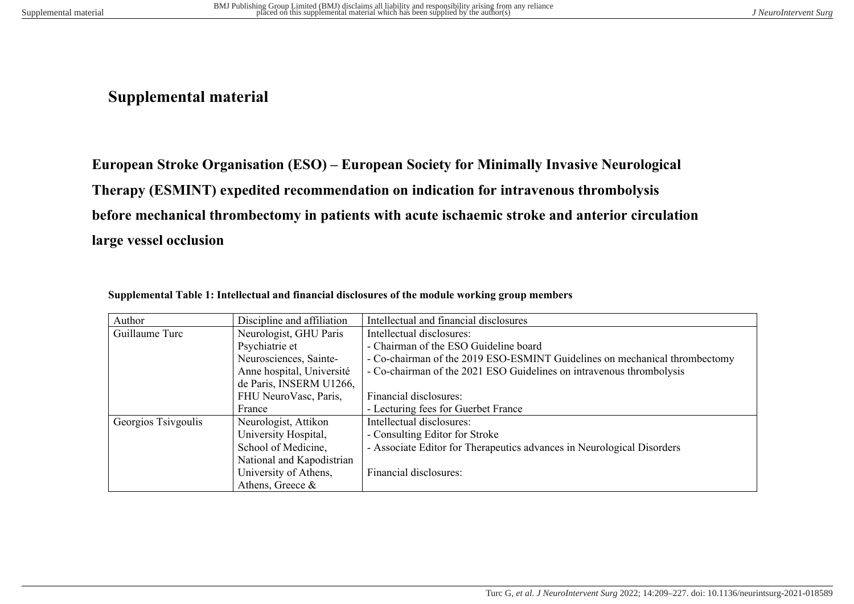## **Supplemental material**

**European Stroke Organisation (ESO) – European Society for Minimally Invasive Neurological Therapy (ESMINT) expedited recommendation on indication for intravenous thrombolysis before mechanical thrombectomy in patients with acute ischaemic stroke and anterior circulation large vessel occlusion**

| Author              | Discipline and affiliation | Intellectual and financial disclosures                                     |
|---------------------|----------------------------|----------------------------------------------------------------------------|
| Guillaume Turc      | Neurologist, GHU Paris     | Intellectual disclosures:                                                  |
|                     | Psychiatrie et             | - Chairman of the ESO Guideline board                                      |
|                     | Neurosciences, Sainte-     | - Co-chairman of the 2019 ESO-ESMINT Guidelines on mechanical thrombectomy |
|                     | Anne hospital, Université  | - Co-chairman of the 2021 ESO Guidelines on intravenous thrombolysis       |
|                     | de Paris, INSERM U1266,    |                                                                            |
|                     | FHU NeuroVasc, Paris,      | Financial disclosures:                                                     |
|                     | France                     | - Lecturing fees for Guerbet France                                        |
| Georgios Tsivgoulis | Neurologist, Attikon       | Intellectual disclosures:                                                  |
|                     | University Hospital,       | - Consulting Editor for Stroke                                             |
|                     | School of Medicine,        | - Associate Editor for Therapeutics advances in Neurological Disorders     |
|                     | National and Kapodistrian  |                                                                            |
|                     | University of Athens,      | Financial disclosures:                                                     |
|                     | Athens, Greece $\&$        |                                                                            |

|  |  | Supplemental Table 1: Intellectual and financial disclosures of the module working group members |  |  |
|--|--|--------------------------------------------------------------------------------------------------|--|--|
|--|--|--------------------------------------------------------------------------------------------------|--|--|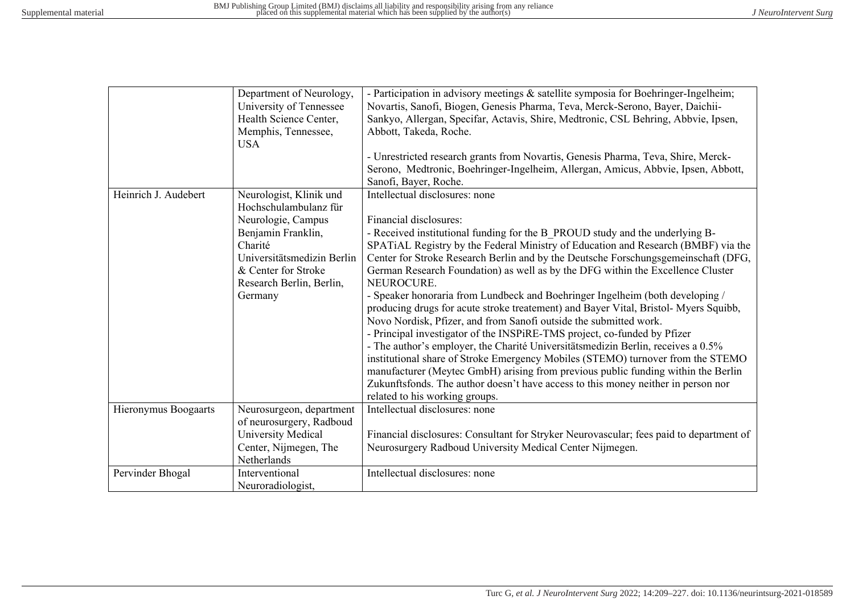|                      | Department of Neurology,<br>University of Tennessee<br>Health Science Center,<br>Memphis, Tennessee, | - Participation in advisory meetings & satellite symposia for Boehringer-Ingelheim;<br>Novartis, Sanofi, Biogen, Genesis Pharma, Teva, Merck-Serono, Bayer, Daichii-<br>Sankyo, Allergan, Specifar, Actavis, Shire, Medtronic, CSL Behring, Abbvie, Ipsen,<br>Abbott, Takeda, Roche. |
|----------------------|------------------------------------------------------------------------------------------------------|--------------------------------------------------------------------------------------------------------------------------------------------------------------------------------------------------------------------------------------------------------------------------------------|
|                      | <b>USA</b>                                                                                           |                                                                                                                                                                                                                                                                                      |
|                      |                                                                                                      | - Unrestricted research grants from Novartis, Genesis Pharma, Teva, Shire, Merck-<br>Serono, Medtronic, Boehringer-Ingelheim, Allergan, Amicus, Abbvie, Ipsen, Abbott,<br>Sanofi, Bayer, Roche.                                                                                      |
| Heinrich J. Audebert | Neurologist, Klinik und                                                                              | Intellectual disclosures: none                                                                                                                                                                                                                                                       |
|                      | Hochschulambulanz für                                                                                |                                                                                                                                                                                                                                                                                      |
|                      | Neurologie, Campus                                                                                   | Financial disclosures:                                                                                                                                                                                                                                                               |
|                      | Benjamin Franklin,                                                                                   | - Received institutional funding for the B PROUD study and the underlying B-                                                                                                                                                                                                         |
|                      | Charité                                                                                              | SPATIAL Registry by the Federal Ministry of Education and Research (BMBF) via the                                                                                                                                                                                                    |
|                      | Universitätsmedizin Berlin                                                                           | Center for Stroke Research Berlin and by the Deutsche Forschungsgemeinschaft (DFG,                                                                                                                                                                                                   |
|                      | & Center for Stroke                                                                                  | German Research Foundation) as well as by the DFG within the Excellence Cluster                                                                                                                                                                                                      |
|                      | Research Berlin, Berlin,                                                                             | NEUROCURE.                                                                                                                                                                                                                                                                           |
|                      | Germany                                                                                              | - Speaker honoraria from Lundbeck and Boehringer Ingelheim (both developing /<br>producing drugs for acute stroke treatement) and Bayer Vital, Bristol-Myers Squibb,<br>Novo Nordisk, Pfizer, and from Sanofi outside the submitted work.                                            |
|                      |                                                                                                      | - Principal investigator of the INSPiRE-TMS project, co-funded by Pfizer                                                                                                                                                                                                             |
|                      |                                                                                                      | - The author's employer, the Charité Universitätsmedizin Berlin, receives a 0.5%                                                                                                                                                                                                     |
|                      |                                                                                                      | institutional share of Stroke Emergency Mobiles (STEMO) turnover from the STEMO                                                                                                                                                                                                      |
|                      |                                                                                                      | manufacturer (Meytec GmbH) arising from previous public funding within the Berlin                                                                                                                                                                                                    |
|                      |                                                                                                      | Zukunftsfonds. The author doesn't have access to this money neither in person nor                                                                                                                                                                                                    |
|                      |                                                                                                      | related to his working groups.                                                                                                                                                                                                                                                       |
| Hieronymus Boogaarts | Neurosurgeon, department                                                                             | Intellectual disclosures: none                                                                                                                                                                                                                                                       |
|                      | of neurosurgery, Radboud                                                                             |                                                                                                                                                                                                                                                                                      |
|                      | University Medical                                                                                   | Financial disclosures: Consultant for Stryker Neurovascular; fees paid to department of                                                                                                                                                                                              |
|                      | Center, Nijmegen, The                                                                                | Neurosurgery Radboud University Medical Center Nijmegen.                                                                                                                                                                                                                             |
|                      | Netherlands                                                                                          |                                                                                                                                                                                                                                                                                      |
| Pervinder Bhogal     | Interventional                                                                                       | Intellectual disclosures: none                                                                                                                                                                                                                                                       |
|                      | Neuroradiologist,                                                                                    |                                                                                                                                                                                                                                                                                      |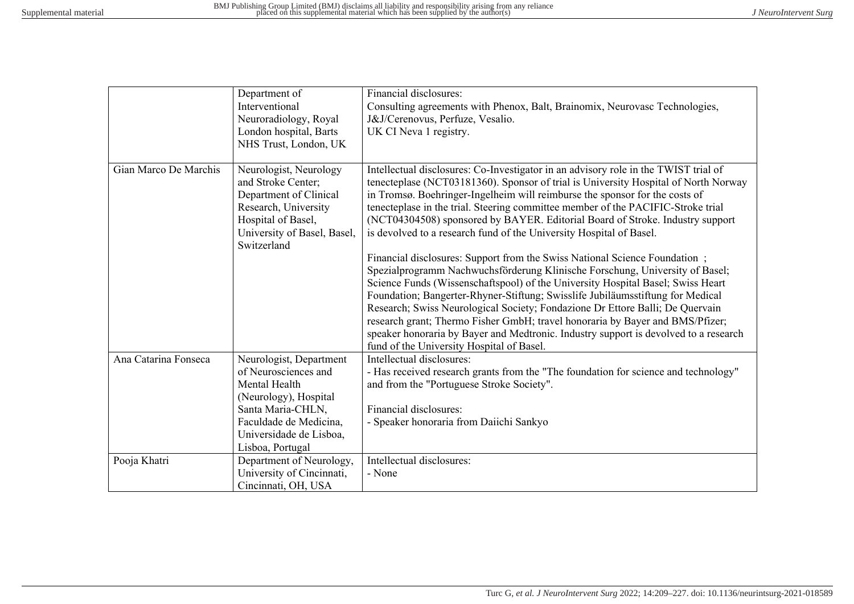|                       | Department of<br>Interventional<br>Neuroradiology, Royal<br>London hospital, Barts<br>NHS Trust, London, UK                                                                             | Financial disclosures:<br>Consulting agreements with Phenox, Balt, Brainomix, Neurovasc Technologies,<br>J&J/Cerenovus, Perfuze, Vesalio.<br>UK CI Neva 1 registry.                                                                                                                                                                                                                                                                                                                                                                                                                                                                                                                                                                                                                                                                                                                                                                                                                                                                                                                                                                             |
|-----------------------|-----------------------------------------------------------------------------------------------------------------------------------------------------------------------------------------|-------------------------------------------------------------------------------------------------------------------------------------------------------------------------------------------------------------------------------------------------------------------------------------------------------------------------------------------------------------------------------------------------------------------------------------------------------------------------------------------------------------------------------------------------------------------------------------------------------------------------------------------------------------------------------------------------------------------------------------------------------------------------------------------------------------------------------------------------------------------------------------------------------------------------------------------------------------------------------------------------------------------------------------------------------------------------------------------------------------------------------------------------|
| Gian Marco De Marchis | Neurologist, Neurology<br>and Stroke Center;<br>Department of Clinical<br>Research, University<br>Hospital of Basel,<br>University of Basel, Basel,<br>Switzerland                      | Intellectual disclosures: Co-Investigator in an advisory role in the TWIST trial of<br>tenecteplase (NCT03181360). Sponsor of trial is University Hospital of North Norway<br>in Tromsø. Boehringer-Ingelheim will reimburse the sponsor for the costs of<br>tenecteplase in the trial. Steering committee member of the PACIFIC-Stroke trial<br>(NCT04304508) sponsored by BAYER. Editorial Board of Stroke. Industry support<br>is devolved to a research fund of the University Hospital of Basel.<br>Financial disclosures: Support from the Swiss National Science Foundation;<br>Spezialprogramm Nachwuchsförderung Klinische Forschung, University of Basel;<br>Science Funds (Wissenschaftspool) of the University Hospital Basel; Swiss Heart<br>Foundation; Bangerter-Rhyner-Stiftung; Swisslife Jubiläumsstiftung for Medical<br>Research; Swiss Neurological Society; Fondazione Dr Ettore Balli; De Quervain<br>research grant; Thermo Fisher GmbH; travel honoraria by Bayer and BMS/Pfizer;<br>speaker honoraria by Bayer and Medtronic. Industry support is devolved to a research<br>fund of the University Hospital of Basel. |
| Ana Catarina Fonseca  | Neurologist, Department<br>of Neurosciences and<br>Mental Health<br>(Neurology), Hospital<br>Santa Maria-CHLN,<br>Faculdade de Medicina,<br>Universidade de Lisboa,<br>Lisboa, Portugal | Intellectual disclosures:<br>- Has received research grants from the "The foundation for science and technology"<br>and from the "Portuguese Stroke Society".<br>Financial disclosures:<br>- Speaker honoraria from Daiichi Sankyo                                                                                                                                                                                                                                                                                                                                                                                                                                                                                                                                                                                                                                                                                                                                                                                                                                                                                                              |
| Pooja Khatri          | Department of Neurology,<br>University of Cincinnati,<br>Cincinnati, OH, USA                                                                                                            | Intellectual disclosures:<br>- None                                                                                                                                                                                                                                                                                                                                                                                                                                                                                                                                                                                                                                                                                                                                                                                                                                                                                                                                                                                                                                                                                                             |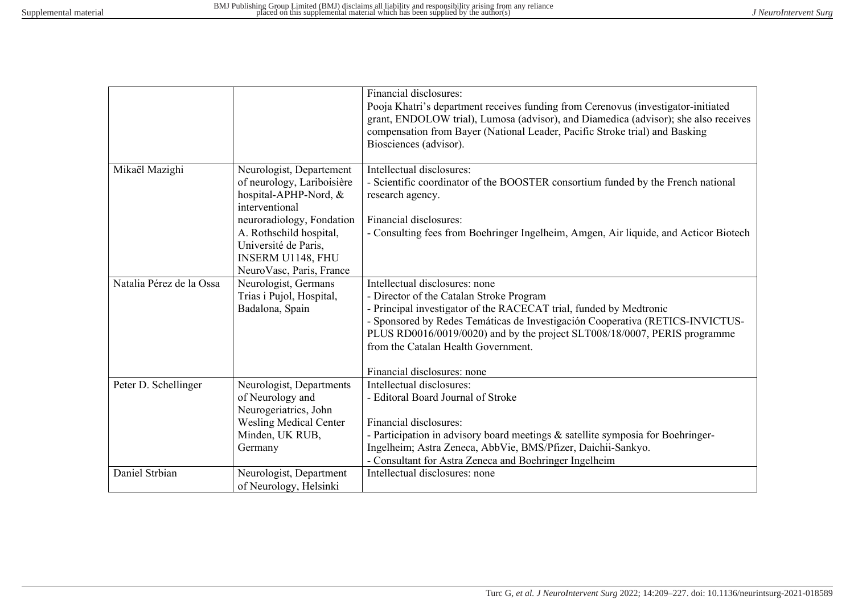|                          |                                                                                                                                      | Financial disclosures:<br>Pooja Khatri's department receives funding from Cerenovus (investigator-initiated<br>grant, ENDOLOW trial), Lumosa (advisor), and Diamedica (advisor); she also receives<br>compensation from Bayer (National Leader, Pacific Stroke trial) and Basking<br>Biosciences (advisor).                                                                          |
|--------------------------|--------------------------------------------------------------------------------------------------------------------------------------|--------------------------------------------------------------------------------------------------------------------------------------------------------------------------------------------------------------------------------------------------------------------------------------------------------------------------------------------------------------------------------------|
| Mikaël Mazighi           | Neurologist, Departement<br>of neurology, Lariboisière<br>hospital-APHP-Nord, &<br>interventional                                    | Intellectual disclosures:<br>- Scientific coordinator of the BOOSTER consortium funded by the French national<br>research agency.                                                                                                                                                                                                                                                    |
|                          | neuroradiology, Fondation<br>A. Rothschild hospital,<br>Université de Paris,<br>INSERM U1148, FHU<br>NeuroVasc, Paris, France        | Financial disclosures:<br>- Consulting fees from Boehringer Ingelheim, Amgen, Air liquide, and Acticor Biotech                                                                                                                                                                                                                                                                       |
| Natalia Pérez de la Ossa | Neurologist, Germans<br>Trias i Pujol, Hospital,<br>Badalona, Spain                                                                  | Intellectual disclosures: none<br>- Director of the Catalan Stroke Program<br>- Principal investigator of the RACECAT trial, funded by Medtronic<br>- Sponsored by Redes Temáticas de Investigación Cooperativa (RETICS-INVICTUS-<br>PLUS RD0016/0019/0020) and by the project SLT008/18/0007, PERIS programme<br>from the Catalan Health Government.<br>Financial disclosures: none |
| Peter D. Schellinger     | Neurologist, Departments<br>of Neurology and<br>Neurogeriatrics, John<br><b>Wesling Medical Center</b><br>Minden, UK RUB,<br>Germany | Intellectual disclosures:<br>- Editoral Board Journal of Stroke<br>Financial disclosures:<br>- Participation in advisory board meetings & satellite symposia for Boehringer-<br>Ingelheim; Astra Zeneca, AbbVie, BMS/Pfizer, Daichii-Sankyo.<br>- Consultant for Astra Zeneca and Boehringer Ingelheim                                                                               |
| Daniel Strbian           | Neurologist, Department<br>of Neurology, Helsinki                                                                                    | Intellectual disclosures: none                                                                                                                                                                                                                                                                                                                                                       |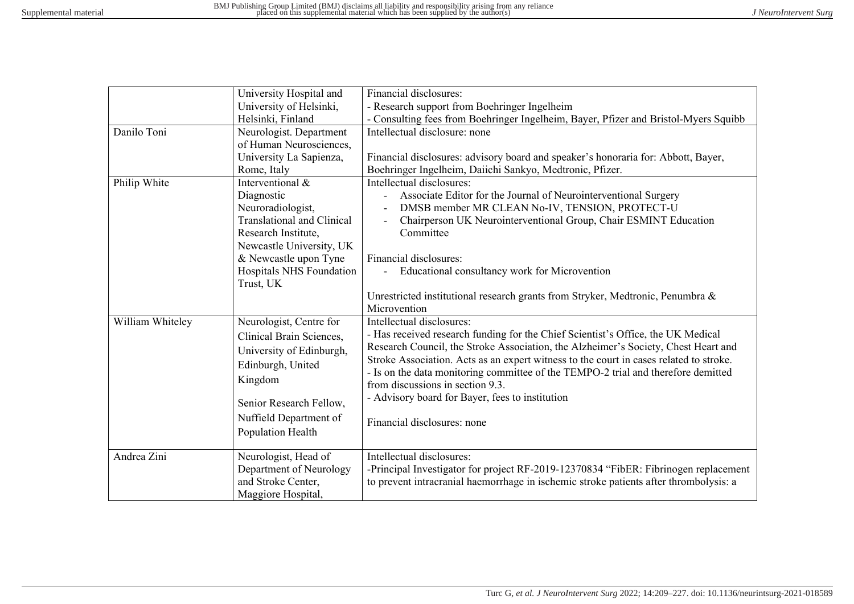|                  | University Hospital and           | Financial disclosures:                                                                 |  |
|------------------|-----------------------------------|----------------------------------------------------------------------------------------|--|
|                  | University of Helsinki,           | - Research support from Boehringer Ingelheim                                           |  |
|                  | Helsinki, Finland                 | - Consulting fees from Boehringer Ingelheim, Bayer, Pfizer and Bristol-Myers Squibb    |  |
| Danilo Toni      | Neurologist. Department           | Intellectual disclosure: none                                                          |  |
|                  | of Human Neurosciences,           |                                                                                        |  |
|                  | University La Sapienza,           | Financial disclosures: advisory board and speaker's honoraria for: Abbott, Bayer,      |  |
|                  | Rome, Italy                       | Boehringer Ingelheim, Daiichi Sankyo, Medtronic, Pfizer.                               |  |
| Philip White     | Interventional &                  | Intellectual disclosures:                                                              |  |
|                  | Diagnostic                        | Associate Editor for the Journal of Neurointerventional Surgery                        |  |
|                  | Neuroradiologist,                 | DMSB member MR CLEAN No-IV, TENSION, PROTECT-U                                         |  |
|                  | <b>Translational and Clinical</b> | Chairperson UK Neurointerventional Group, Chair ESMINT Education                       |  |
|                  | Research Institute,               | Committee                                                                              |  |
|                  | Newcastle University, UK          |                                                                                        |  |
|                  | & Newcastle upon Tyne             | Financial disclosures:                                                                 |  |
|                  | Hospitals NHS Foundation          | Educational consultancy work for Microvention                                          |  |
|                  | Trust, UK                         |                                                                                        |  |
|                  |                                   | Unrestricted institutional research grants from Stryker, Medtronic, Penumbra &         |  |
|                  |                                   | Microvention                                                                           |  |
| William Whiteley | Neurologist, Centre for           | Intellectual disclosures:                                                              |  |
|                  | Clinical Brain Sciences,          | - Has received research funding for the Chief Scientist's Office, the UK Medical       |  |
|                  | University of Edinburgh,          | Research Council, the Stroke Association, the Alzheimer's Society, Chest Heart and     |  |
|                  | Edinburgh, United                 | Stroke Association. Acts as an expert witness to the court in cases related to stroke. |  |
|                  |                                   | - Is on the data monitoring committee of the TEMPO-2 trial and therefore demitted      |  |
|                  | Kingdom                           | from discussions in section 9.3.                                                       |  |
|                  | Senior Research Fellow,           | - Advisory board for Bayer, fees to institution                                        |  |
|                  | Nuffield Department of            |                                                                                        |  |
|                  | Population Health                 | Financial disclosures: none                                                            |  |
|                  |                                   |                                                                                        |  |
| Andrea Zini      | Neurologist, Head of              | Intellectual disclosures:                                                              |  |
|                  | Department of Neurology           | -Principal Investigator for project RF-2019-12370834 "FibER: Fibrinogen replacement    |  |
|                  | and Stroke Center,                | to prevent intracranial haemorrhage in ischemic stroke patients after thrombolysis: a  |  |
|                  | Maggiore Hospital,                |                                                                                        |  |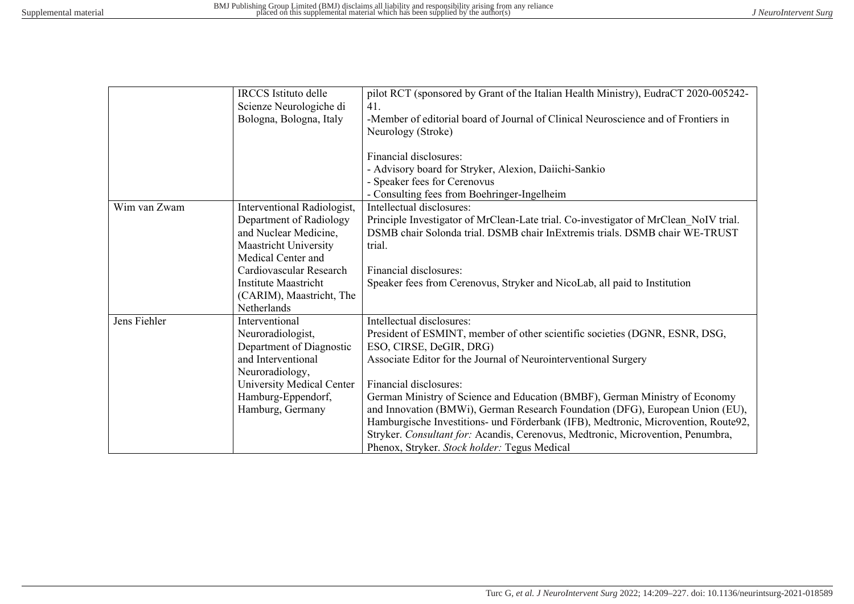|              | <b>IRCCS</b> Istituto delle<br>Scienze Neurologiche di                                                                         | pilot RCT (sponsored by Grant of the Italian Health Ministry), EudraCT 2020-005242-<br>41.                                                                                                                                                                                                                                                                                                                      |
|--------------|--------------------------------------------------------------------------------------------------------------------------------|-----------------------------------------------------------------------------------------------------------------------------------------------------------------------------------------------------------------------------------------------------------------------------------------------------------------------------------------------------------------------------------------------------------------|
|              | Bologna, Bologna, Italy                                                                                                        | -Member of editorial board of Journal of Clinical Neuroscience and of Frontiers in<br>Neurology (Stroke)                                                                                                                                                                                                                                                                                                        |
|              |                                                                                                                                | Financial disclosures:<br>- Advisory board for Stryker, Alexion, Daiichi-Sankio<br>- Speaker fees for Cerenovus<br>- Consulting fees from Boehringer-Ingelheim                                                                                                                                                                                                                                                  |
| Wim van Zwam | Interventional Radiologist,<br>Department of Radiology<br>and Nuclear Medicine,<br>Maastricht University<br>Medical Center and | Intellectual disclosures:<br>Principle Investigator of MrClean-Late trial. Co-investigator of MrClean NoIV trial.<br>DSMB chair Solonda trial. DSMB chair InExtremis trials. DSMB chair WE-TRUST<br>trial.                                                                                                                                                                                                      |
|              | Cardiovascular Research<br>Institute Maastricht<br>(CARIM), Maastricht, The<br>Netherlands                                     | Financial disclosures:<br>Speaker fees from Cerenovus, Stryker and NicoLab, all paid to Institution                                                                                                                                                                                                                                                                                                             |
| Jens Fiehler | Interventional<br>Neuroradiologist,<br>Department of Diagnostic<br>and Interventional<br>Neuroradiology,                       | Intellectual disclosures:<br>President of ESMINT, member of other scientific societies (DGNR, ESNR, DSG,<br>ESO, CIRSE, DeGIR, DRG)<br>Associate Editor for the Journal of Neurointerventional Surgery                                                                                                                                                                                                          |
|              | <b>University Medical Center</b><br>Hamburg-Eppendorf,<br>Hamburg, Germany                                                     | Financial disclosures:<br>German Ministry of Science and Education (BMBF), German Ministry of Economy<br>and Innovation (BMWi), German Research Foundation (DFG), European Union (EU),<br>Hamburgische Investitions- und Förderbank (IFB), Medtronic, Microvention, Route92,<br>Stryker. Consultant for: Acandis, Cerenovus, Medtronic, Microvention, Penumbra,<br>Phenox, Stryker. Stock holder: Tegus Medical |